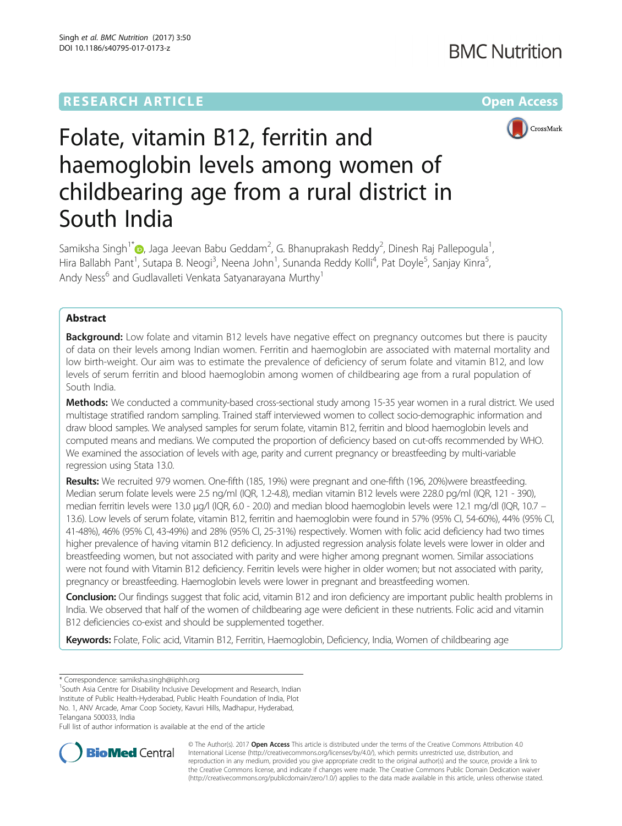# **RESEARCH ARTICLE Example 2014 12:30 The Community Community Community Community Community Community Community**



# Folate, vitamin B12, ferritin and haemoglobin levels among women of childbearing age from a rural district in South India

Samiksha Singh<sup>1\*</sup>�[,](http://orcid.org/0000-0001-9441-0657) Jaga Jeevan Babu Geddam<sup>2</sup>, G. Bhanuprakash Reddy<sup>2</sup>, Dinesh Raj Pallepogula<sup>1</sup> , Hira Ballabh Pant<sup>1</sup>, Sutapa B. Neogi<sup>3</sup>, Neena John<sup>1</sup>, Sunanda Reddy Kolli<sup>4</sup>, Pat Doyle<sup>5</sup>, Sanjay Kinra<sup>5</sup> , Andy Ness<sup>6</sup> and Gudlavalleti Venkata Satyanarayana Murthy<sup>1</sup>

# Abstract

**Background:** Low folate and vitamin B12 levels have negative effect on pregnancy outcomes but there is paucity of data on their levels among Indian women. Ferritin and haemoglobin are associated with maternal mortality and low birth-weight. Our aim was to estimate the prevalence of deficiency of serum folate and vitamin B12, and low levels of serum ferritin and blood haemoglobin among women of childbearing age from a rural population of South India.

Methods: We conducted a community-based cross-sectional study among 15-35 year women in a rural district. We used multistage stratified random sampling. Trained staff interviewed women to collect socio-demographic information and draw blood samples. We analysed samples for serum folate, vitamin B12, ferritin and blood haemoglobin levels and computed means and medians. We computed the proportion of deficiency based on cut-offs recommended by WHO. We examined the association of levels with age, parity and current pregnancy or breastfeeding by multi-variable regression using Stata 13.0.

Results: We recruited 979 women. One-fifth (185, 19%) were pregnant and one-fifth (196, 20%)were breastfeeding. Median serum folate levels were 2.5 ng/ml (IQR, 1.2-4.8), median vitamin B12 levels were 228.0 pg/ml (IQR, 121 - 390), median ferritin levels were 13.0 μg/l (IQR, 6.0 - 20.0) and median blood haemoglobin levels were 12.1 mg/dl (IQR, 10.7 – 13.6). Low levels of serum folate, vitamin B12, ferritin and haemoglobin were found in 57% (95% CI, 54-60%), 44% (95% CI, 41-48%), 46% (95% CI, 43-49%) and 28% (95% CI, 25-31%) respectively. Women with folic acid deficiency had two times higher prevalence of having vitamin B12 deficiency. In adjusted regression analysis folate levels were lower in older and breastfeeding women, but not associated with parity and were higher among pregnant women. Similar associations were not found with Vitamin B12 deficiency. Ferritin levels were higher in older women; but not associated with parity, pregnancy or breastfeeding. Haemoglobin levels were lower in pregnant and breastfeeding women.

Conclusion: Our findings suggest that folic acid, vitamin B12 and iron deficiency are important public health problems in India. We observed that half of the women of childbearing age were deficient in these nutrients. Folic acid and vitamin B12 deficiencies co-exist and should be supplemented together.

Keywords: Folate, Folic acid, Vitamin B12, Ferritin, Haemoglobin, Deficiency, India, Women of childbearing age

No. 1, ANV Arcade, Amar Coop Society, Kavuri Hills, Madhapur, Hyderabad, Telangana 500033, India

Full list of author information is available at the end of the article



© The Author(s). 2017 **Open Access** This article is distributed under the terms of the Creative Commons Attribution 4.0 International License [\(http://creativecommons.org/licenses/by/4.0/](http://creativecommons.org/licenses/by/4.0/)), which permits unrestricted use, distribution, and reproduction in any medium, provided you give appropriate credit to the original author(s) and the source, provide a link to the Creative Commons license, and indicate if changes were made. The Creative Commons Public Domain Dedication waiver [\(http://creativecommons.org/publicdomain/zero/1.0/](http://creativecommons.org/publicdomain/zero/1.0/)) applies to the data made available in this article, unless otherwise stated.

<sup>\*</sup> Correspondence: [samiksha.singh@iiphh.org](mailto:samiksha.singh@iiphh.org) <sup>1</sup>

<sup>&</sup>lt;sup>1</sup> South Asia Centre for Disability Inclusive Development and Research, Indian Institute of Public Health-Hyderabad, Public Health Foundation of India, Plot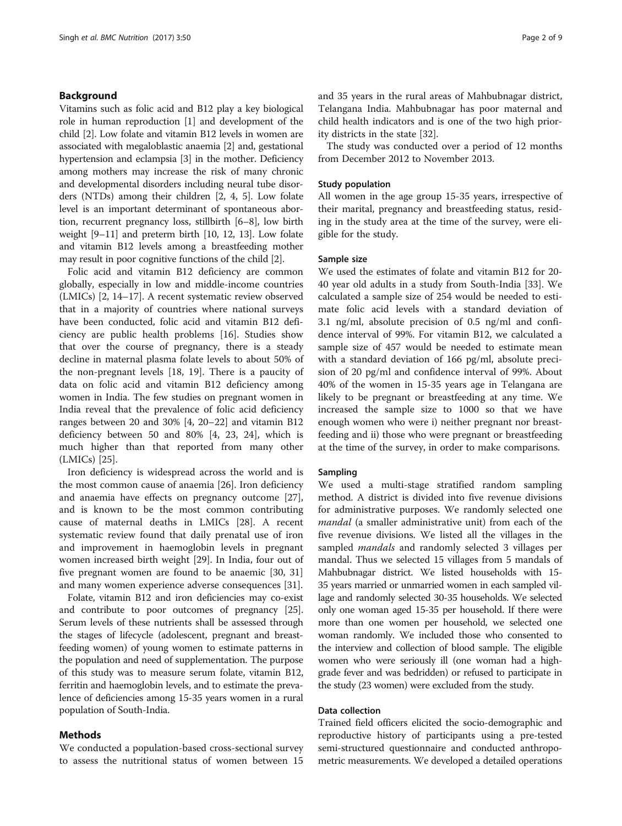# Background

Vitamins such as folic acid and B12 play a key biological role in human reproduction [[1](#page-7-0)] and development of the child [\[2](#page-7-0)]. Low folate and vitamin B12 levels in women are associated with megaloblastic anaemia [\[2\]](#page-7-0) and, gestational hypertension and eclampsia [[3](#page-7-0)] in the mother. Deficiency among mothers may increase the risk of many chronic and developmental disorders including neural tube disorders (NTDs) among their children [\[2](#page-7-0), [4, 5](#page-7-0)]. Low folate level is an important determinant of spontaneous abortion, recurrent pregnancy loss, stillbirth [[6](#page-7-0)–[8](#page-7-0)], low birth weight [\[9](#page-7-0)–[11](#page-8-0)] and preterm birth [[10,](#page-7-0) [12](#page-8-0), [13\]](#page-8-0). Low folate and vitamin B12 levels among a breastfeeding mother may result in poor cognitive functions of the child [[2](#page-7-0)].

Folic acid and vitamin B12 deficiency are common globally, especially in low and middle-income countries (LMICs) [[2](#page-7-0), [14](#page-8-0)–[17\]](#page-8-0). A recent systematic review observed that in a majority of countries where national surveys have been conducted, folic acid and vitamin B12 deficiency are public health problems [[16\]](#page-8-0). Studies show that over the course of pregnancy, there is a steady decline in maternal plasma folate levels to about 50% of the non-pregnant levels [\[18](#page-8-0), [19\]](#page-8-0). There is a paucity of data on folic acid and vitamin B12 deficiency among women in India. The few studies on pregnant women in India reveal that the prevalence of folic acid deficiency ranges between 20 and 30% [\[4](#page-7-0), [20](#page-8-0)–[22](#page-8-0)] and vitamin B12 deficiency between 50 and 80% [\[4](#page-7-0), [23, 24](#page-8-0)], which is much higher than that reported from many other (LMICs) [[25](#page-8-0)].

Iron deficiency is widespread across the world and is the most common cause of anaemia [\[26](#page-8-0)]. Iron deficiency and anaemia have effects on pregnancy outcome [\[27](#page-8-0)], and is known to be the most common contributing cause of maternal deaths in LMICs [\[28](#page-8-0)]. A recent systematic review found that daily prenatal use of iron and improvement in haemoglobin levels in pregnant women increased birth weight [\[29](#page-8-0)]. In India, four out of five pregnant women are found to be anaemic [\[30](#page-8-0), [31](#page-8-0)] and many women experience adverse consequences [\[31\]](#page-8-0).

Folate, vitamin B12 and iron deficiencies may co-exist and contribute to poor outcomes of pregnancy [[25](#page-8-0)]. Serum levels of these nutrients shall be assessed through the stages of lifecycle (adolescent, pregnant and breastfeeding women) of young women to estimate patterns in the population and need of supplementation. The purpose of this study was to measure serum folate, vitamin B12, ferritin and haemoglobin levels, and to estimate the prevalence of deficiencies among 15-35 years women in a rural population of South-India.

# Methods

We conducted a population-based cross-sectional survey to assess the nutritional status of women between 15 and 35 years in the rural areas of Mahbubnagar district, Telangana India. Mahbubnagar has poor maternal and child health indicators and is one of the two high priority districts in the state [[32\]](#page-8-0).

The study was conducted over a period of 12 months from December 2012 to November 2013.

# Study population

All women in the age group 15-35 years, irrespective of their marital, pregnancy and breastfeeding status, residing in the study area at the time of the survey, were eligible for the study.

# Sample size

We used the estimates of folate and vitamin B12 for 20- 40 year old adults in a study from South-India [[33\]](#page-8-0). We calculated a sample size of 254 would be needed to estimate folic acid levels with a standard deviation of 3.1 ng/ml, absolute precision of 0.5 ng/ml and confidence interval of 99%. For vitamin B12, we calculated a sample size of 457 would be needed to estimate mean with a standard deviation of 166 pg/ml, absolute precision of 20 pg/ml and confidence interval of 99%. About 40% of the women in 15-35 years age in Telangana are likely to be pregnant or breastfeeding at any time. We increased the sample size to 1000 so that we have enough women who were i) neither pregnant nor breastfeeding and ii) those who were pregnant or breastfeeding at the time of the survey, in order to make comparisons.

# Sampling

We used a multi-stage stratified random sampling method. A district is divided into five revenue divisions for administrative purposes. We randomly selected one mandal (a smaller administrative unit) from each of the five revenue divisions. We listed all the villages in the sampled *mandals* and randomly selected 3 villages per mandal. Thus we selected 15 villages from 5 mandals of Mahbubnagar district. We listed households with 15- 35 years married or unmarried women in each sampled village and randomly selected 30-35 households. We selected only one woman aged 15-35 per household. If there were more than one women per household, we selected one woman randomly. We included those who consented to the interview and collection of blood sample. The eligible women who were seriously ill (one woman had a highgrade fever and was bedridden) or refused to participate in the study (23 women) were excluded from the study.

# Data collection

Trained field officers elicited the socio-demographic and reproductive history of participants using a pre-tested semi-structured questionnaire and conducted anthropometric measurements. We developed a detailed operations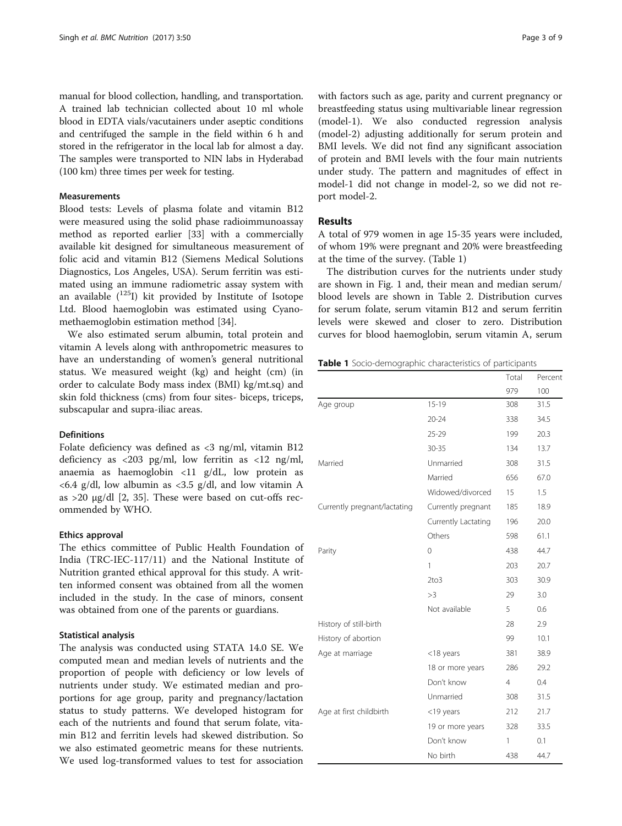manual for blood collection, handling, and transportation. A trained lab technician collected about 10 ml whole blood in EDTA vials/vacutainers under aseptic conditions and centrifuged the sample in the field within 6 h and stored in the refrigerator in the local lab for almost a day. The samples were transported to NIN labs in Hyderabad (100 km) three times per week for testing.

# **Measurements**

Blood tests: Levels of plasma folate and vitamin B12 were measured using the solid phase radioimmunoassay method as reported earlier [\[33\]](#page-8-0) with a commercially available kit designed for simultaneous measurement of folic acid and vitamin B12 (Siemens Medical Solutions Diagnostics, Los Angeles, USA). Serum ferritin was estimated using an immune radiometric assay system with an available  $(^{125}I)$  kit provided by Institute of Isotope Ltd. Blood haemoglobin was estimated using Cyanomethaemoglobin estimation method [\[34](#page-8-0)].

We also estimated serum albumin, total protein and vitamin A levels along with anthropometric measures to have an understanding of women's general nutritional status. We measured weight (kg) and height (cm) (in order to calculate Body mass index (BMI) kg/mt.sq) and skin fold thickness (cms) from four sites- biceps, triceps, subscapular and supra-iliac areas.

# Definitions

Folate deficiency was defined as  $\langle 3 \rangle$  ng/ml, vitamin B12 deficiency as  $\langle 203 \text{ pg/ml} \rangle$  low ferritin as  $\langle 12 \text{ ng/ml} \rangle$ , anaemia as haemoglobin <11 g/dL, low protein as  $<$  6.4 g/dl, low albumin as  $<$  3.5 g/dl, and low vitamin A as >20 μg/dl [[2](#page-7-0), [35](#page-8-0)]. These were based on cut-offs recommended by WHO.

# Ethics approval

The ethics committee of Public Health Foundation of India (TRC-IEC-117/11) and the National Institute of Nutrition granted ethical approval for this study. A written informed consent was obtained from all the women included in the study. In the case of minors, consent was obtained from one of the parents or guardians.

# Statistical analysis

The analysis was conducted using STATA 14.0 SE. We computed mean and median levels of nutrients and the proportion of people with deficiency or low levels of nutrients under study. We estimated median and proportions for age group, parity and pregnancy/lactation status to study patterns. We developed histogram for each of the nutrients and found that serum folate, vitamin B12 and ferritin levels had skewed distribution. So we also estimated geometric means for these nutrients. We used log-transformed values to test for association

with factors such as age, parity and current pregnancy or breastfeeding status using multivariable linear regression (model-1). We also conducted regression analysis (model-2) adjusting additionally for serum protein and BMI levels. We did not find any significant association of protein and BMI levels with the four main nutrients under study. The pattern and magnitudes of effect in model-1 did not change in model-2, so we did not report model-2.

# Results

A total of 979 women in age 15-35 years were included, of whom 19% were pregnant and 20% were breastfeeding at the time of the survey. (Table 1)

The distribution curves for the nutrients under study are shown in Fig. [1](#page-3-0) and, their mean and median serum/ blood levels are shown in Table [2](#page-3-0). Distribution curves for serum folate, serum vitamin B12 and serum ferritin levels were skewed and closer to zero. Distribution curves for blood haemoglobin, serum vitamin A, serum

|  |  |  |  |  |  | Table 1 Socio-demographic characteristics of participants |  |  |  |  |
|--|--|--|--|--|--|-----------------------------------------------------------|--|--|--|--|
|--|--|--|--|--|--|-----------------------------------------------------------|--|--|--|--|

|                              |                     | Total          | Percent |
|------------------------------|---------------------|----------------|---------|
|                              |                     | 979            | 100     |
| Age group                    | $15 - 19$           | 308            | 31.5    |
|                              | $20 - 24$           | 338            | 34.5    |
|                              | $25 - 29$           | 199            | 20.3    |
|                              | 30-35               | 134            | 13.7    |
| Married                      | Unmarried           | 308            | 31.5    |
|                              | Married             | 656            | 67.0    |
|                              | Widowed/divorced    | 15             | 1.5     |
| Currently pregnant/lactating | Currently pregnant  | 185            | 18.9    |
|                              | Currently Lactating | 196            | 20.0    |
|                              | Others              | 598            | 61.1    |
| Parity                       | $\mathbf 0$         | 438            | 44.7    |
|                              | 1                   | 203            | 20.7    |
|                              | $2$ to $3$          | 303            | 30.9    |
|                              | >3                  | 29             | 3.0     |
|                              | Not available       | 5              | 0.6     |
| History of still-birth       |                     | 28             | 2.9     |
| History of abortion          |                     | 99             | 10.1    |
| Age at marriage              | $<$ 18 years        | 381            | 38.9    |
|                              | 18 or more years    | 286            | 29.2    |
|                              | Don't know          | $\overline{4}$ | 0.4     |
|                              | Unmarried           | 308            | 31.5    |
| Age at first childbirth      | <19 years           | 212            | 21.7    |
|                              | 19 or more years    | 328            | 33.5    |
|                              | Don't know          | 1              | 0.1     |
|                              | No birth            | 438            | 44.7    |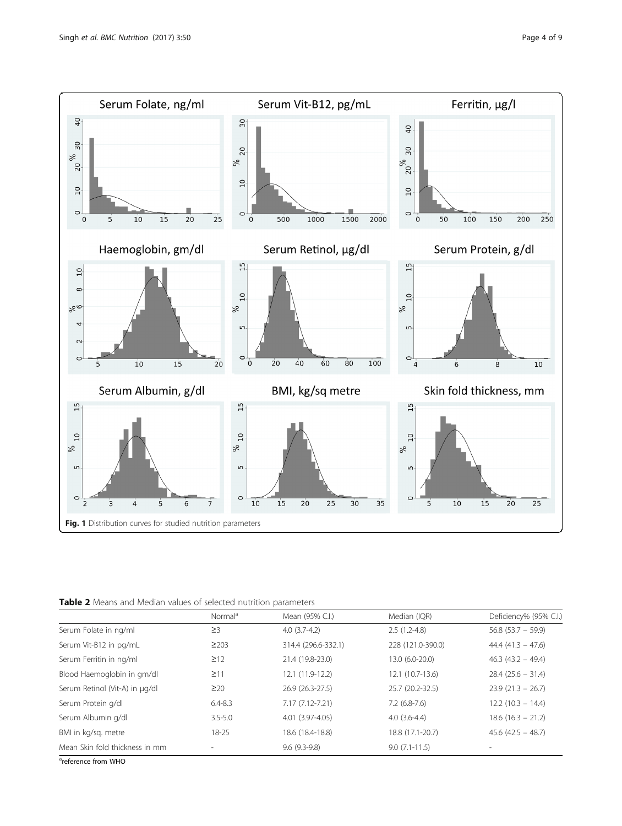<span id="page-3-0"></span>

|  |  |  |  |  |  |  |  | Table 2 Means and Median values of selected nutrition parameters |
|--|--|--|--|--|--|--|--|------------------------------------------------------------------|
|--|--|--|--|--|--|--|--|------------------------------------------------------------------|

|                                | Normal <sup>a</sup> | Mean (95% C.I.)     | Median (IQR)      | Deficiency% (95% C.I.) |
|--------------------------------|---------------------|---------------------|-------------------|------------------------|
| Serum Folate in ng/ml          | $\geq$ 3            | $4.0(3.7-4.2)$      | $2.5(1.2-4.8)$    | $56.8$ (53.7 - 59.9)   |
| Serum Vit-B12 in pg/mL         | $\geq$ 203          | 314.4 (296.6-332.1) | 228 (121.0-390.0) | $44.4(41.3 - 47.6)$    |
| Serum Ferritin in ng/ml        | $\geq$ 12           | 21.4 (19.8-23.0)    | 13.0 (6.0-20.0)   | $46.3(43.2 - 49.4)$    |
| Blood Haemoglobin in gm/dl     | $\geq$ 11           | 12.1 (11.9-12.2)    | 12.1 (10.7-13.6)  | $28.4(25.6 - 31.4)$    |
| Serum Retinol (Vit-A) in µg/dl | $\geq$ 20           | 26.9 (26.3-27.5)    | 25.7 (20.2-32.5)  | $23.9(21.3 - 26.7)$    |
| Serum Protein g/dl             | $6.4 - 8.3$         | 7.17 (7.12-7.21)    | $7.2(6.8-7.6)$    | $12.2(10.3 - 14.4)$    |
| Serum Albumin g/dl             | $3.5 - 5.0$         | 4.01 (3.97-4.05)    | $4.0(3.6-4.4)$    | $18.6(16.3 - 21.2)$    |
| BMI in kg/sg. metre            | $18 - 25$           | 18.6 (18.4-18.8)    | 18.8 (17.1-20.7)  | $45.6$ (42.5 - 48.7)   |
| Mean Skin fold thickness in mm |                     | $9.6(9.3-9.8)$      | $9.0(7.1-11.5)$   |                        |
|                                |                     |                     |                   |                        |

<sup>a</sup>reference from WHO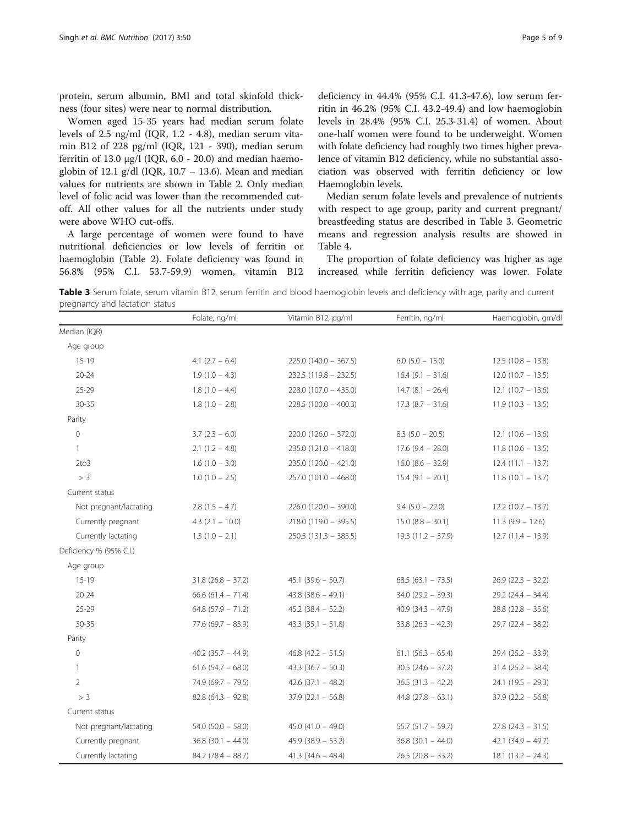protein, serum albumin, BMI and total skinfold thickness (four sites) were near to normal distribution.

Women aged 15-35 years had median serum folate levels of 2.5 ng/ml (IQR, 1.2 - 4.8), median serum vitamin B12 of 228 pg/ml (IQR, 121 - 390), median serum ferritin of 13.0 μg/l (IQR, 6.0 - 20.0) and median haemoglobin of 12.1 g/dl (IQR,  $10.7 - 13.6$ ). Mean and median values for nutrients are shown in Table [2.](#page-3-0) Only median level of folic acid was lower than the recommended cutoff. All other values for all the nutrients under study were above WHO cut-offs.

A large percentage of women were found to have nutritional deficiencies or low levels of ferritin or haemoglobin (Table [2](#page-3-0)). Folate deficiency was found in 56.8% (95% C.I. 53.7-59.9) women, vitamin B12 deficiency in 44.4% (95% C.I. 41.3-47.6), low serum ferritin in 46.2% (95% C.I. 43.2-49.4) and low haemoglobin levels in 28.4% (95% C.I. 25.3-31.4) of women. About one-half women were found to be underweight. Women with folate deficiency had roughly two times higher prevalence of vitamin B12 deficiency, while no substantial association was observed with ferritin deficiency or low Haemoglobin levels.

Median serum folate levels and prevalence of nutrients with respect to age group, parity and current pregnant/ breastfeeding status are described in Table 3. Geometric means and regression analysis results are showed in Table [4.](#page-5-0)

The proportion of folate deficiency was higher as age increased while ferritin deficiency was lower. Folate

Table 3 Serum folate, serum vitamin B12, serum ferritin and blood haemoglobin levels and deficiency with age, parity and current pregnancy and lactation status

|                         | Folate, ng/ml            | Vitamin B12, pg/ml      | Ferritin, ng/ml        | Haemoglobin, gm/d        |
|-------------------------|--------------------------|-------------------------|------------------------|--------------------------|
| Median (IQR)            |                          |                         |                        |                          |
| Age group               |                          |                         |                        |                          |
| $15 - 19$               | 4.1 $(2.7 - 6.4)$        | $225.0$ (140.0 - 367.5) | $6.0$ $(5.0 - 15.0)$   | $12.5(10.8 - 13.8)$      |
| $20 - 24$               | $1.9(1.0 - 4.3)$         | $232.5(119.8 - 232.5)$  | $16.4(9.1 - 31.6)$     | $12.0(10.7 - 13.5)$      |
| $25 - 29$               | $1.8(1.0 - 4.4)$         | $228.0$ (107.0 - 435.0) | $14.7(8.1 - 26.4)$     | $12.1 (10.7 - 13.6)$     |
| $30 - 35$               | $1.8(1.0 - 2.8)$         | $228.5(100.0 - 400.3)$  | $17.3 (8.7 - 31.6)$    | $11.9(10.3 - 13.5)$      |
| Parity                  |                          |                         |                        |                          |
| $\mathbf{0}$            | $3.7(2.3 - 6.0)$         | $220.0$ (126.0 - 372.0) | $8.3(5.0 - 20.5)$      | $12.1(10.6 - 13.6)$      |
| $\mathbf{1}$            | $2.1(1.2 - 4.8)$         | $235.0$ (121.0 - 418.0) | $17.6$ (9.4 - 28.0)    | $11.8(10.6 - 13.5)$      |
| $2$ to $3$              | $1.6(1.0 - 3.0)$         | $235.0$ (120.0 - 421.0) | $16.0 (8.6 - 32.9)$    | $12.4(11.1 - 13.7)$      |
| > 3                     | $1.0(1.0 - 2.5)$         | $257.0$ (101.0 - 468.0) | $15.4(9.1 - 20.1)$     | $11.8(10.1 - 13.7)$      |
| Current status          |                          |                         |                        |                          |
| Not pregnant/lactating  | $2.8(1.5 - 4.7)$         | $226.0$ (120.0 - 390.0) | $9.4$ (5.0 - 22.0)     | $12.2(10.7 - 13.7)$      |
| Currently pregnant      | $4.3$ (2.1 - 10.0)       | $218.0$ (119.0 - 395.5) | $15.0 (8.8 - 30.1)$    | $11.3(9.9 - 12.6)$       |
| Currently lactating     | $1.3(1.0 - 2.1)$         | $250.5(131.3 - 385.5)$  | $19.3(11.2 - 37.9)$    | $12.7(11.4 - 13.9)$      |
| Deficiency % (95% C.I.) |                          |                         |                        |                          |
| Age group               |                          |                         |                        |                          |
| $15 - 19$               | $31.8$ (26.8 - 37.2)     | $45.1 (39.6 - 50.7)$    | $68.5(63.1 - 73.5)$    | $26.9(22.3 - 32.2)$      |
| $20 - 24$               | 66.6 $(61.4 - 71.4)$     | $43.8$ (38.6 - 49.1)    | $34.0 (29.2 - 39.3)$   | $29.2$ (24.4 - 34.4)     |
| 25-29                   | $64.8$ (57.9 - 71.2)     | $45.2$ (38.4 - 52.2)    | $40.9$ $(34.3 - 47.9)$ | $28.8$ (22.8 - 35.6)     |
| 30-35                   | $77.6(69.7 - 83.9)$      | $43.3(35.1 - 51.8)$     | $33.8(26.3 - 42.3)$    | $29.7(22.4 - 38.2)$      |
| Parity                  |                          |                         |                        |                          |
| $\mathbf 0$             | $40.2$ (35.7 – 44.9)     | $46.8$ (42.2 - 51.5)    | $61.1$ $(56.3 - 65.4)$ | $29.4$ ( $25.2 - 33.9$ ) |
| $\mathbf{1}$            | $61.6$ (54.7 - 68.0)     | $43.3 (36.7 - 50.3)$    | $30.5$ (24.6 - 37.2)   | $31.4$ (25.2 - 38.4)     |
| $\overline{2}$          | $74.9(69.7 - 79.5)$      | $42.6$ (37.1 - 48.2)    | $36.5$ (31.3 - 42.2)   | $24.1$ (19.5 - 29.3)     |
| > 3                     | $82.8(64.3 - 92.8)$      | $37.9$ (22.1 - 56.8)    | $44.8$ (27.8 - 63.1)   | $37.9$ (22.2 - 56.8)     |
| Current status          |                          |                         |                        |                          |
| Not pregnant/lactating  | $54.0$ (50.0 - 58.0)     | $45.0$ $(41.0 - 49.0)$  | $55.7$ (51.7 - 59.7)   | $27.8$ (24.3 - 31.5)     |
| Currently pregnant      | $36.8$ ( $30.1 - 44.0$ ) | $45.9$ (38.9 - 53.2)    | $36.8$ (30.1 - 44.0)   | $42.1 (34.9 - 49.7)$     |
| Currently lactating     | $84.2$ (78.4 - 88.7)     | $41.3$ (34.6 - 48.4)    | $26.5$ (20.8 - 33.2)   | $18.1$ $(13.2 - 24.3)$   |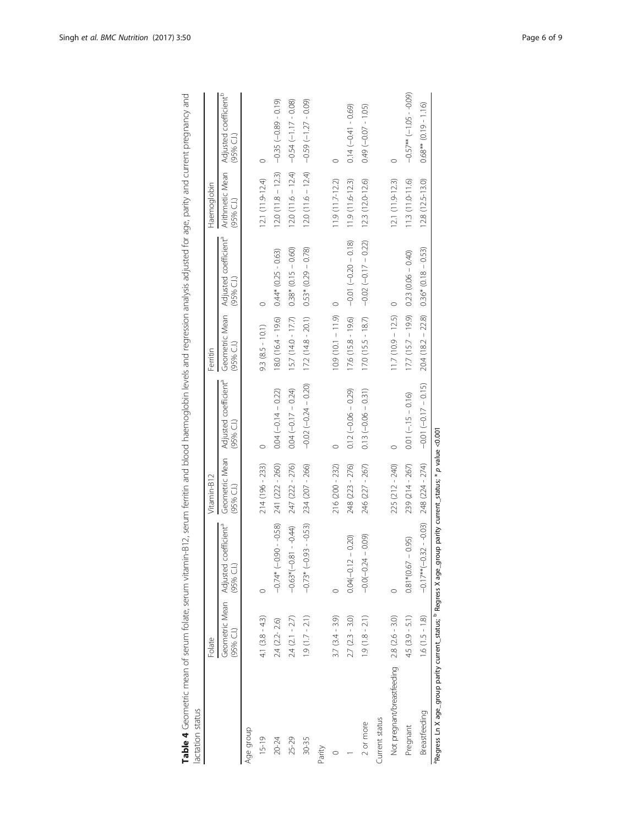|                                                                                                           | Folate           |                                                                  | Vitamin-B12                  |                                                                                                    | Ferritin                               |                                           | Haemoglobin                   |                                                 |
|-----------------------------------------------------------------------------------------------------------|------------------|------------------------------------------------------------------|------------------------------|----------------------------------------------------------------------------------------------------|----------------------------------------|-------------------------------------------|-------------------------------|-------------------------------------------------|
|                                                                                                           | $(95%$ C.I.)     | Geometric Mean Adjusted coefficient <sup>a</sup><br>$(95%$ C.I.) | Geometric Mean<br>(95% C.I.) | Adjusted coefficient <sup>a</sup> Geometric Mean Adjusted coefficient <sup>a</sup><br>$(95%$ C.I.) | (95% C.I.)                             | (95% C.I.)                                | Arithmetic Mean<br>(95% C.I.) | Adjusted coefficient <sup>b</sup><br>(95% C.I.) |
| Age group                                                                                                 |                  |                                                                  |                              |                                                                                                    |                                        |                                           |                               |                                                 |
| $15 - 19$                                                                                                 | $4.1(3.8 - 4.3)$ | $\circ$                                                          | 214 (196 - 233)              | 0                                                                                                  | $9.3 (8.5 - 10.1)$                     | O                                         | 12.1 (11.9-12.4)              | O                                               |
| $20 - 24$                                                                                                 | $2.4(2.2 - 2.6)$ | $-0.74*(-0.90 - 0.58)$                                           | 241 (222 - 260)              | $0.04 (-0.14 - 0.22)$                                                                              | 18.0 (16.4 - 19.6)                     | $0.44*(0.25 - 0.63)$                      | $12.0(11.8 - 12.3)$           | $-0.35(-0.89 - 0.19)$                           |
| 25-29                                                                                                     | $2.4(2.1 - 2.7)$ | $(81 - 0.44)$<br>$-0.63*(-0$                                     | 247 (222 - 276)              | $0.04(-0.17 - 0.24)$                                                                               | $15.7(14.0 - 17.7)$                    | $0.38*$ $(0.15 - 0.60)$                   |                               | $12.0(11.6 - 12.4) -0.54(-1.17 - 0.08)$         |
| 30-35                                                                                                     | $1.9(1.7 - 2.1)$ | $-0.73*(-0.93 - 0.53)$                                           | 234 (207 - 266)              | $-0.02 (-0.24 - 0.20)$                                                                             | $17.2(14.8 - 20.1)$                    | $0.53*$ (0.29 - 0.78)                     |                               | $12.0(11.6 - 12.4) -0.59(-1.27 - 0.09)$         |
| Parity                                                                                                    |                  |                                                                  |                              |                                                                                                    |                                        |                                           |                               |                                                 |
|                                                                                                           | $3.7(3.4 - 3.9)$ |                                                                  | 216 (200 - 232)              |                                                                                                    | $10.9(10.1 - 11.9)$                    |                                           | $11.9(11.7 - 12.2)$           | $\circ$                                         |
|                                                                                                           | $2.7(2.3 - 3.0)$ | $0.04(-0.12 - 0.20)$                                             | 248 (223 - 276)              | $0.12 (-0.06 - 0.29)$                                                                              | $17.6(15.8 - 19.6)$                    | $-0.01(-0.20 - 0.18)$                     | $11.9(11.6-12.3)$             | $0.14 (-0.41 - 0.69)$                           |
| 2 or more                                                                                                 | $1.9(1.8 - 2.1)$ | $-0.0(-0.24 - 0.09)$                                             | 246 (227 - 267)              | $0.13(-0.06 - 0.31)$                                                                               | $17.0 (15.5 - 18.7)$                   | $-0.02 (-0.17 - 0.22)$ 12.3 (12.0-12.6)   |                               | $(1.05)$ (-0.07 - 1.05)                         |
| Current status                                                                                            |                  |                                                                  |                              |                                                                                                    |                                        |                                           |                               |                                                 |
| Not pregnant/breastfeeding 2.8 (2.6 - 3.0)                                                                |                  |                                                                  | 225 (212 - 240)              | 0                                                                                                  | $11.7(10.9 - 12.5)$                    | $\subset$                                 | 12.1 (11.9-12.3)              | $\circ$                                         |
| Pregnant                                                                                                  | $4.5(3.9 - 5.1)$ | $-0.95$<br>$0.81*(0.67)$                                         | 239 (214 - 267)              | $0.01 (-15 - 0.16)$                                                                                | $17.7(15.7 - 19.9)$ 0.23 (0.06 - 0.40) |                                           | $11.3(11.0 - 11.6)$           | $-0.57***$ $(-1.05 - 0.09)$                     |
| Breastfeeding                                                                                             | $1.6(1.5 - 1.8)$ | $-0.17***(-0.32 - 0.03)$                                         | 248 (224 - 274)              | $-0.01 (-0.17 - 0.15)$                                                                             |                                        | $20.4(18.2 - 22.8)$ $0.36*$ (0.18 - 0.53) | $12.8(12.5 - 13.0)$           | $0.68***$ $(0.19 - 1.16)$                       |
| Pegress Ln X age_group parity current_status; Pegress X age_group parity current_status; * p value <0.001 |                  |                                                                  |                              |                                                                                                    |                                        |                                           |                               |                                                 |

<span id="page-5-0"></span>Table 4 Geometric mean of serum folate, serum vitamin-B12, serum ferritin and blood haemoglobin levels and regression analysis adjusted for age, parity and current pregnancy and<br>lactation status Table 4 Geometric mean of serum folate, serum vitamin-B12, serum ferritin and blood haemoglobin levels and regression analysis adjusted for age, parity and current pregnancy and lactation status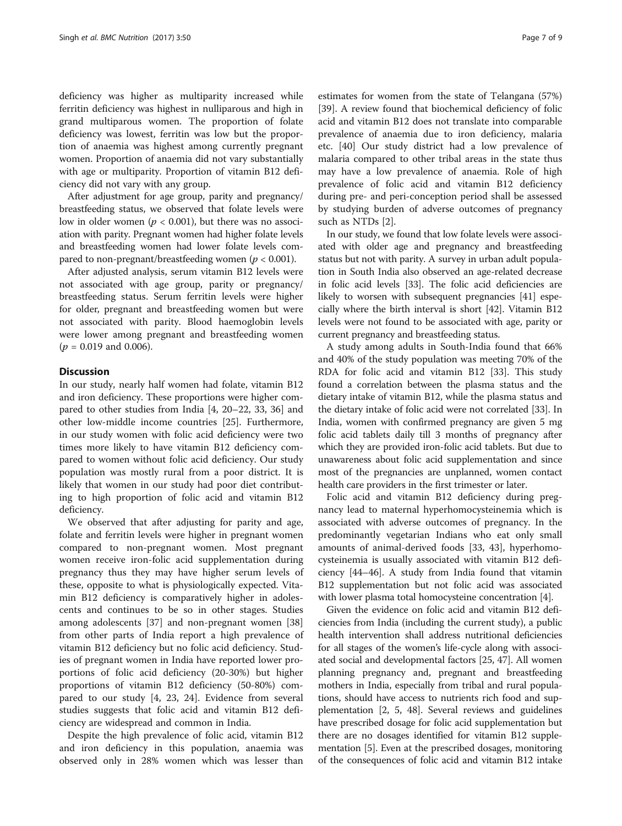deficiency was higher as multiparity increased while ferritin deficiency was highest in nulliparous and high in grand multiparous women. The proportion of folate deficiency was lowest, ferritin was low but the proportion of anaemia was highest among currently pregnant women. Proportion of anaemia did not vary substantially with age or multiparity. Proportion of vitamin B12 deficiency did not vary with any group.

After adjustment for age group, parity and pregnancy/ breastfeeding status, we observed that folate levels were low in older women ( $p < 0.001$ ), but there was no association with parity. Pregnant women had higher folate levels and breastfeeding women had lower folate levels compared to non-pregnant/breastfeeding women ( $p < 0.001$ ).

After adjusted analysis, serum vitamin B12 levels were not associated with age group, parity or pregnancy/ breastfeeding status. Serum ferritin levels were higher for older, pregnant and breastfeeding women but were not associated with parity. Blood haemoglobin levels were lower among pregnant and breastfeeding women  $(p = 0.019$  and 0.006).

# **Discussion**

In our study, nearly half women had folate, vitamin B12 and iron deficiency. These proportions were higher compared to other studies from India [\[4](#page-7-0), [20](#page-8-0)–[22](#page-8-0), [33, 36\]](#page-8-0) and other low-middle income countries [\[25\]](#page-8-0). Furthermore, in our study women with folic acid deficiency were two times more likely to have vitamin B12 deficiency compared to women without folic acid deficiency. Our study population was mostly rural from a poor district. It is likely that women in our study had poor diet contributing to high proportion of folic acid and vitamin B12 deficiency.

We observed that after adjusting for parity and age, folate and ferritin levels were higher in pregnant women compared to non-pregnant women. Most pregnant women receive iron-folic acid supplementation during pregnancy thus they may have higher serum levels of these, opposite to what is physiologically expected. Vitamin B12 deficiency is comparatively higher in adolescents and continues to be so in other stages. Studies among adolescents [\[37\]](#page-8-0) and non-pregnant women [[38](#page-8-0)] from other parts of India report a high prevalence of vitamin B12 deficiency but no folic acid deficiency. Studies of pregnant women in India have reported lower proportions of folic acid deficiency (20-30%) but higher proportions of vitamin B12 deficiency (50-80%) compared to our study [\[4](#page-7-0), [23](#page-8-0), [24](#page-8-0)]. Evidence from several studies suggests that folic acid and vitamin B12 deficiency are widespread and common in India.

Despite the high prevalence of folic acid, vitamin B12 and iron deficiency in this population, anaemia was observed only in 28% women which was lesser than

estimates for women from the state of Telangana (57%) [[39\]](#page-8-0). A review found that biochemical deficiency of folic acid and vitamin B12 does not translate into comparable prevalence of anaemia due to iron deficiency, malaria etc. [[40](#page-8-0)] Our study district had a low prevalence of malaria compared to other tribal areas in the state thus may have a low prevalence of anaemia. Role of high prevalence of folic acid and vitamin B12 deficiency during pre- and peri-conception period shall be assessed by studying burden of adverse outcomes of pregnancy such as NTDs [\[2\]](#page-7-0).

In our study, we found that low folate levels were associated with older age and pregnancy and breastfeeding status but not with parity. A survey in urban adult population in South India also observed an age-related decrease in folic acid levels [\[33\]](#page-8-0). The folic acid deficiencies are likely to worsen with subsequent pregnancies [[41](#page-8-0)] especially where the birth interval is short [\[42\]](#page-8-0). Vitamin B12 levels were not found to be associated with age, parity or current pregnancy and breastfeeding status.

A study among adults in South-India found that 66% and 40% of the study population was meeting 70% of the RDA for folic acid and vitamin B12 [[33\]](#page-8-0). This study found a correlation between the plasma status and the dietary intake of vitamin B12, while the plasma status and the dietary intake of folic acid were not correlated [\[33\]](#page-8-0). In India, women with confirmed pregnancy are given 5 mg folic acid tablets daily till 3 months of pregnancy after which they are provided iron-folic acid tablets. But due to unawareness about folic acid supplementation and since most of the pregnancies are unplanned, women contact health care providers in the first trimester or later.

Folic acid and vitamin B12 deficiency during pregnancy lead to maternal hyperhomocysteinemia which is associated with adverse outcomes of pregnancy. In the predominantly vegetarian Indians who eat only small amounts of animal-derived foods [\[33](#page-8-0), [43](#page-8-0)], hyperhomocysteinemia is usually associated with vitamin B12 deficiency [[44](#page-8-0)–[46\]](#page-8-0). A study from India found that vitamin B12 supplementation but not folic acid was associated with lower plasma total homocysteine concentration [\[4](#page-7-0)].

Given the evidence on folic acid and vitamin B12 deficiencies from India (including the current study), a public health intervention shall address nutritional deficiencies for all stages of the women's life-cycle along with associated social and developmental factors [[25](#page-8-0), [47](#page-8-0)]. All women planning pregnancy and, pregnant and breastfeeding mothers in India, especially from tribal and rural populations, should have access to nutrients rich food and supplementation [[2, 5,](#page-7-0) [48\]](#page-8-0). Several reviews and guidelines have prescribed dosage for folic acid supplementation but there are no dosages identified for vitamin B12 supplementation [[5\]](#page-7-0). Even at the prescribed dosages, monitoring of the consequences of folic acid and vitamin B12 intake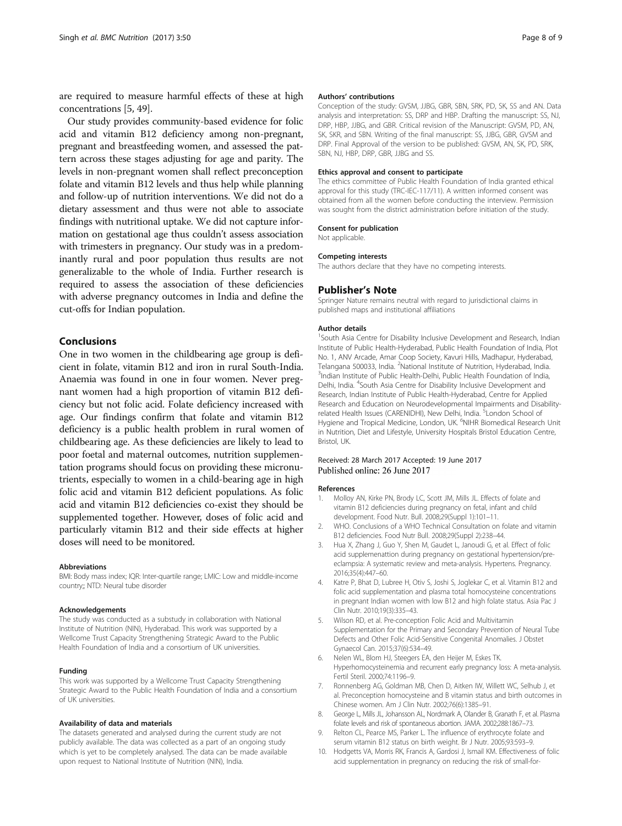<span id="page-7-0"></span>are required to measure harmful effects of these at high concentrations [5, [49\]](#page-8-0).

Our study provides community-based evidence for folic acid and vitamin B12 deficiency among non-pregnant, pregnant and breastfeeding women, and assessed the pattern across these stages adjusting for age and parity. The levels in non-pregnant women shall reflect preconception folate and vitamin B12 levels and thus help while planning and follow-up of nutrition interventions. We did not do a dietary assessment and thus were not able to associate findings with nutritional uptake. We did not capture information on gestational age thus couldn't assess association with trimesters in pregnancy. Our study was in a predominantly rural and poor population thus results are not generalizable to the whole of India. Further research is required to assess the association of these deficiencies with adverse pregnancy outcomes in India and define the cut-offs for Indian population.

# Conclusions

One in two women in the childbearing age group is deficient in folate, vitamin B12 and iron in rural South-India. Anaemia was found in one in four women. Never pregnant women had a high proportion of vitamin B12 deficiency but not folic acid. Folate deficiency increased with age. Our findings confirm that folate and vitamin B12 deficiency is a public health problem in rural women of childbearing age. As these deficiencies are likely to lead to poor foetal and maternal outcomes, nutrition supplementation programs should focus on providing these micronutrients, especially to women in a child-bearing age in high folic acid and vitamin B12 deficient populations. As folic acid and vitamin B12 deficiencies co-exist they should be supplemented together. However, doses of folic acid and particularly vitamin B12 and their side effects at higher doses will need to be monitored.

#### Abbreviations

BMI: Body mass index; IQR: Inter-quartile range; LMIC: Low and middle-income country;; NTD: Neural tube disorder

#### Acknowledgements

The study was conducted as a substudy in collaboration with National Institute of Nutrition (NIN), Hyderabad. This work was supported by a Wellcome Trust Capacity Strengthening Strategic Award to the Public Health Foundation of India and a consortium of UK universities.

## Funding

This work was supported by a Wellcome Trust Capacity Strengthening Strategic Award to the Public Health Foundation of India and a consortium of UK universities.

#### Availability of data and materials

The datasets generated and analysed during the current study are not publicly available. The data was collected as a part of an ongoing study which is yet to be completely analysed. The data can be made available upon request to National Institute of Nutrition (NIN), India.

## Authors' contributions

Conception of the study: GVSM, JJBG, GBR, SBN, SRK, PD, SK, SS and AN. Data analysis and interpretation: SS, DRP and HBP. Drafting the manuscript: SS, NJ, DRP, HBP, JJBG, and GBR. Critical revision of the Manuscript: GVSM, PD, AN, SK, SKR, and SBN. Writing of the final manuscript: SS, JJBG, GBR, GVSM and DRP. Final Approval of the version to be published: GVSM, AN, SK, PD, SRK, SBN, NJ, HBP, DRP, GBR, JJBG and SS.

#### Ethics approval and consent to participate

The ethics committee of Public Health Foundation of India granted ethical approval for this study (TRC-IEC-117/11). A written informed consent was obtained from all the women before conducting the interview. Permission was sought from the district administration before initiation of the study.

### Consent for publication

Not applicable.

## Competing interests

The authors declare that they have no competing interests.

#### Publisher's Note

Springer Nature remains neutral with regard to jurisdictional claims in published maps and institutional affiliations

#### Author details

<sup>1</sup>South Asia Centre for Disability Inclusive Development and Research, Indian Institute of Public Health-Hyderabad, Public Health Foundation of India, Plot No. 1, ANV Arcade, Amar Coop Society, Kavuri Hills, Madhapur, Hyderabad, Telangana 500033, India. <sup>2</sup>National Institute of Nutrition, Hyderabad, India.<br><sup>3</sup>Indian Instituto of Public Hoalth Delhi, Public Hoalth Foundation of India. <sup>3</sup>Indian Institute of Public Health-Delhi, Public Health Foundation of India, Delhi, India. <sup>4</sup>South Asia Centre for Disability Inclusive Development and Research, Indian Institute of Public Health-Hyderabad, Centre for Applied Research and Education on Neurodevelopmental Impairments and Disabilityrelated Health Issues (CARENIDHI), New Delhi, India. <sup>5</sup>London School of Hygiene and Tropical Medicine, London, UK. <sup>6</sup>NIHR Biomedical Research Unit in Nutrition, Diet and Lifestyle, University Hospitals Bristol Education Centre, Bristol, UK.

# Received: 28 March 2017 Accepted: 19 June 2017 Published online: 26 June 2017

#### References

- 1. Molloy AN, Kirke PN, Brody LC, Scott JM, Mills JL. Effects of folate and vitamin B12 deficiencies during pregnancy on fetal, infant and child development. Food Nutr. Bull. 2008;29(Suppl 1):101–11.
- 2. WHO. Conclusions of a WHO Technical Consultation on folate and vitamin B12 deficiencies. Food Nutr Bull. 2008;29(Suppl 2):238–44.
- 3. Hua X, Zhang J, Guo Y, Shen M, Gaudet L, Janoudi G, et al. Effect of folic acid supplemenattion during pregnancy on gestational hypertension/preeclampsia: A systematic review and meta-analysis. Hypertens. Pregnancy. 2016;35(4):447–60.
- 4. Katre P, Bhat D, Lubree H, Otiv S, Joshi S, Joglekar C, et al. Vitamin B12 and folic acid supplementation and plasma total homocysteine concentrations in pregnant Indian women with low B12 and high folate status. Asia Pac J Clin Nutr. 2010;19(3):335–43.
- 5. Wilson RD, et al. Pre-conception Folic Acid and Multivitamin Supplementation for the Primary and Secondary Prevention of Neural Tube Defects and Other Folic Acid-Sensitive Congenital Anomalies. J Obstet Gynaecol Can. 2015;37(6):534–49.
- 6. Nelen WL, Blom HJ, Steegers EA, den Heijer M, Eskes TK. Hyperhomocysteinemia and recurrent early pregnancy loss: A meta-analysis. Fertil Steril. 2000;74:1196–9.
- 7. Ronnenberg AG, Goldman MB, Chen D, Aitken IW, Willett WC, Selhub J, et al. Preconception homocysteine and B vitamin status and birth outcomes in Chinese women. Am J Clin Nutr. 2002;76(6):1385–91.
- 8. George L, Mills JL, Johansson AL, Nordmark A, Olander B, Granath F, et al. Plasma folate levels and risk of spontaneous abortion. JAMA. 2002;288:1867–73.
- 9. Relton CL, Pearce MS, Parker L. The influence of erythrocyte folate and serum vitamin B12 status on birth weight. Br J Nutr. 2005;93:593–9.
- 10. Hodgetts VA, Morris RK, Francis A, Gardosi J, Ismail KM. Effectiveness of folic acid supplementation in pregnancy on reducing the risk of small-for-